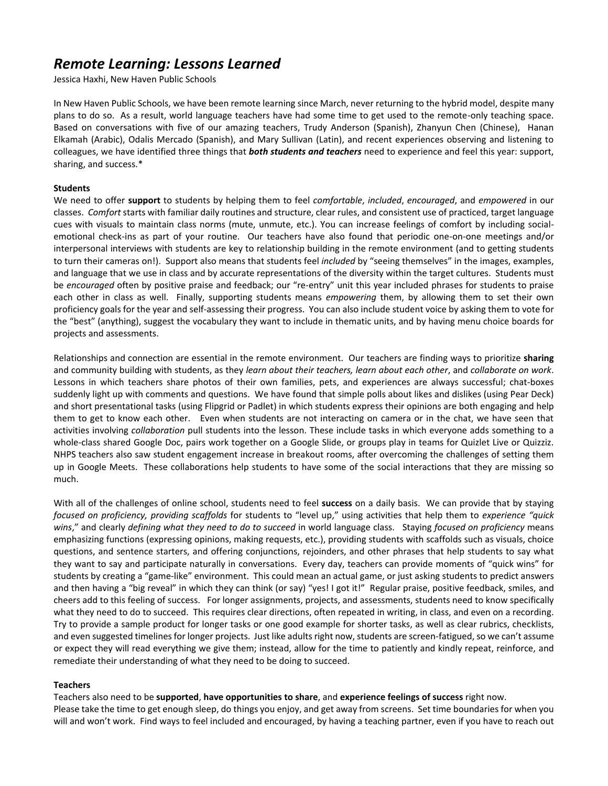## *Remote Learning: Lessons Learned*

Jessica Haxhi, New Haven Public Schools

In New Haven Public Schools, we have been remote learning since March, never returning to the hybrid model, despite many plans to do so. As a result, world language teachers have had some time to get used to the remote-only teaching space. Based on conversations with five of our amazing teachers, Trudy Anderson (Spanish), Zhanyun Chen (Chinese), Hanan Elkamah (Arabic), Odalis Mercado (Spanish), and Mary Sullivan (Latin), and recent experiences observing and listening to colleagues, we have identified three things that *both students and teachers* need to experience and feel this year: support, sharing, and success.\*

## **Students**

We need to offer **support** to students by helping them to feel *comfortable*, *included*, *encouraged*, and *empowered* in our classes. *Comfort* starts with familiar daily routines and structure, clear rules, and consistent use of practiced, target language cues with visuals to maintain class norms (mute, unmute, etc.). You can increase feelings of comfort by including socialemotional check-ins as part of your routine. Our teachers have also found that periodic one-on-one meetings and/or interpersonal interviews with students are key to relationship building in the remote environment (and to getting students to turn their cameras on!). Support also means that students feel *included* by "seeing themselves" in the images, examples, and language that we use in class and by accurate representations of the diversity within the target cultures. Students must be *encouraged* often by positive praise and feedback; our "re-entry" unit this year included phrases for students to praise each other in class as well. Finally, supporting students means *empowering* them, by allowing them to set their own proficiency goals for the year and self-assessing their progress. You can also include student voice by asking them to vote for the "best" (anything), suggest the vocabulary they want to include in thematic units, and by having menu choice boards for projects and assessments.

Relationships and connection are essential in the remote environment. Our teachers are finding ways to prioritize **sharing** and community building with students, as they *learn about their teachers, learn about each other*, and *collaborate on work*. Lessons in which teachers share photos of their own families, pets, and experiences are always successful; chat-boxes suddenly light up with comments and questions. We have found that simple polls about likes and dislikes (using Pear Deck) and short presentational tasks (using Flipgrid or Padlet) in which students express their opinions are both engaging and help them to get to know each other. Even when students are not interacting on camera or in the chat, we have seen that activities involving *collaboration* pull students into the lesson. These include tasks in which everyone adds something to a whole-class shared Google Doc, pairs work together on a Google Slide, or groups play in teams for Quizlet Live or Quizziz. NHPS teachers also saw student engagement increase in breakout rooms, after overcoming the challenges of setting them up in Google Meets. These collaborations help students to have some of the social interactions that they are missing so much.

With all of the challenges of online school, students need to feel **success** on a daily basis. We can provide that by staying *focused on proficiency, providing scaffolds* for students to "level up," using activities that help them to *experience "quick wins*," and clearly *defining what they need to do to succeed* in world language class. Staying *focused on proficiency* means emphasizing functions (expressing opinions, making requests, etc.), providing students with scaffolds such as visuals, choice questions, and sentence starters, and offering conjunctions, rejoinders, and other phrases that help students to say what they want to say and participate naturally in conversations. Every day, teachers can provide moments of "quick wins" for students by creating a "game-like" environment. This could mean an actual game, or just asking students to predict answers and then having a "big reveal" in which they can think (or say) "yes! I got it!" Regular praise, positive feedback, smiles, and cheers add to this feeling of success. For longer assignments, projects, and assessments, students need to know specifically what they need to do to succeed. This requires clear directions, often repeated in writing, in class, and even on a recording. Try to provide a sample product for longer tasks or one good example for shorter tasks, as well as clear rubrics, checklists, and even suggested timelines for longer projects. Just like adults right now, students are screen-fatigued, so we can't assume or expect they will read everything we give them; instead, allow for the time to patiently and kindly repeat, reinforce, and remediate their understanding of what they need to be doing to succeed.

## **Teachers**

Teachers also need to be **supported**, **have opportunities to share**, and **experience feelings of success** right now. Please take the time to get enough sleep, do things you enjoy, and get away from screens. Set time boundaries for when you will and won't work. Find ways to feel included and encouraged, by having a teaching partner, even if you have to reach out